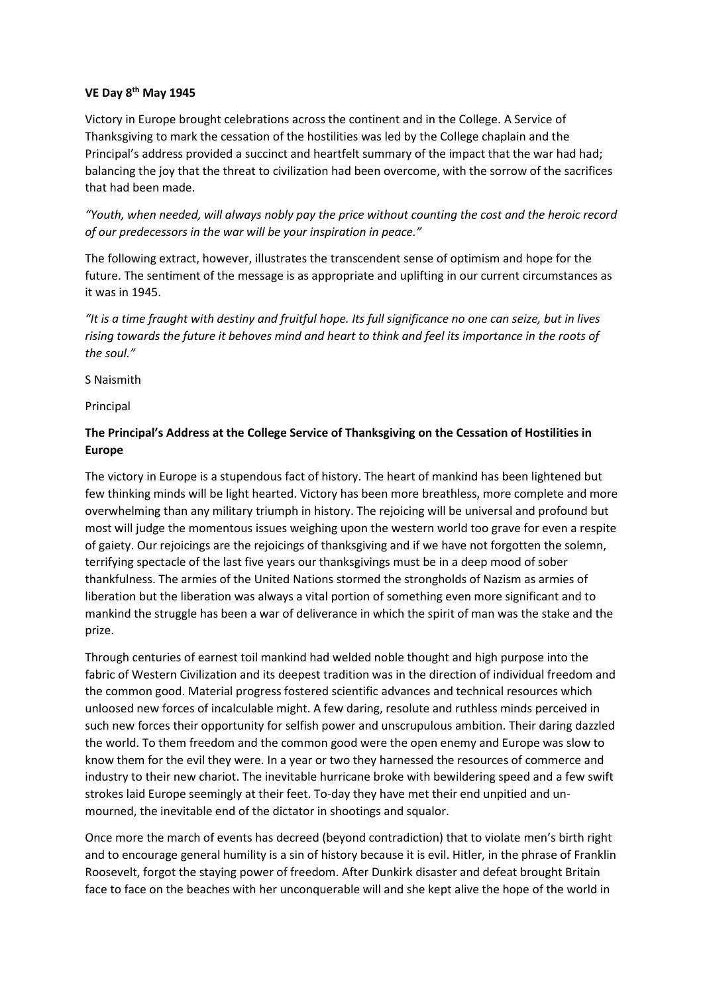## **VE Day 8th May 1945**

Victory in Europe brought celebrations across the continent and in the College. A Service of Thanksgiving to mark the cessation of the hostilities was led by the College chaplain and the Principal's address provided a succinct and heartfelt summary of the impact that the war had had; balancing the joy that the threat to civilization had been overcome, with the sorrow of the sacrifices that had been made.

*"Youth, when needed, will always nobly pay the price without counting the cost and the heroic record of our predecessors in the war will be your inspiration in peace."*

The following extract, however, illustrates the transcendent sense of optimism and hope for the future. The sentiment of the message is as appropriate and uplifting in our current circumstances as it was in 1945.

*"It is a time fraught with destiny and fruitful hope. Its full significance no one can seize, but in lives rising towards the future it behoves mind and heart to think and feel its importance in the roots of the soul."*

S Naismith

Principal

## **The Principal's Address at the College Service of Thanksgiving on the Cessation of Hostilities in Europe**

The victory in Europe is a stupendous fact of history. The heart of mankind has been lightened but few thinking minds will be light hearted. Victory has been more breathless, more complete and more overwhelming than any military triumph in history. The rejoicing will be universal and profound but most will judge the momentous issues weighing upon the western world too grave for even a respite of gaiety. Our rejoicings are the rejoicings of thanksgiving and if we have not forgotten the solemn, terrifying spectacle of the last five years our thanksgivings must be in a deep mood of sober thankfulness. The armies of the United Nations stormed the strongholds of Nazism as armies of liberation but the liberation was always a vital portion of something even more significant and to mankind the struggle has been a war of deliverance in which the spirit of man was the stake and the prize.

Through centuries of earnest toil mankind had welded noble thought and high purpose into the fabric of Western Civilization and its deepest tradition was in the direction of individual freedom and the common good. Material progress fostered scientific advances and technical resources which unloosed new forces of incalculable might. A few daring, resolute and ruthless minds perceived in such new forces their opportunity for selfish power and unscrupulous ambition. Their daring dazzled the world. To them freedom and the common good were the open enemy and Europe was slow to know them for the evil they were. In a year or two they harnessed the resources of commerce and industry to their new chariot. The inevitable hurricane broke with bewildering speed and a few swift strokes laid Europe seemingly at their feet. To-day they have met their end unpitied and unmourned, the inevitable end of the dictator in shootings and squalor.

Once more the march of events has decreed (beyond contradiction) that to violate men's birth right and to encourage general humility is a sin of history because it is evil. Hitler, in the phrase of Franklin Roosevelt, forgot the staying power of freedom. After Dunkirk disaster and defeat brought Britain face to face on the beaches with her unconquerable will and she kept alive the hope of the world in